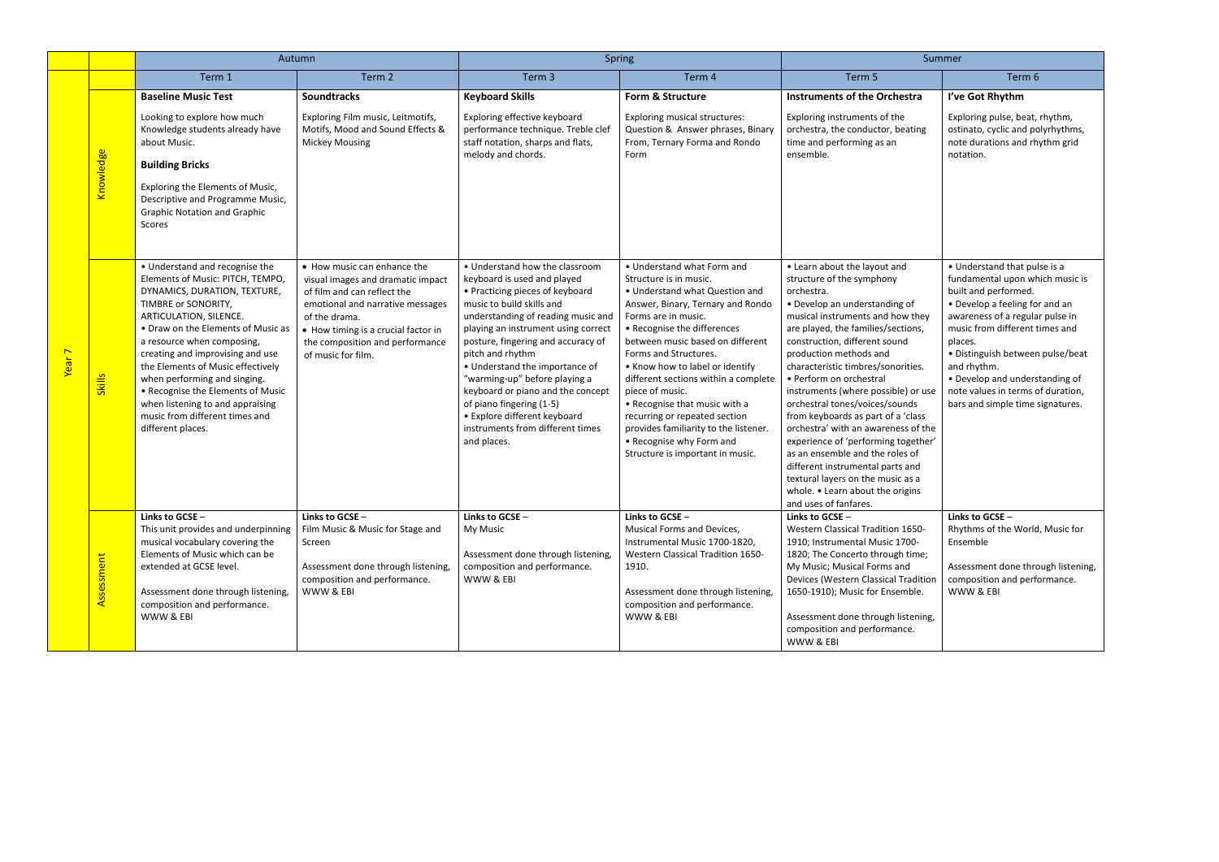|                   |                        | Autumn                                                                                                                                                                                                                                                                                                                                                                                                                                                           |                                                                                                                                                                                                                                                      | Spring                                                                                                                                                                                                                                                                                                                                                                                                                                                                                      |                                                                                                                                                                                                                                                                                                                                                                                                                                                                                                                         | Summer                                                                                                                                                                                                                                                                                                                                                                                                                                                                                                                                                                                                                                                                               |                                                                                                                                                                                                                                                                                                                                                                         |
|-------------------|------------------------|------------------------------------------------------------------------------------------------------------------------------------------------------------------------------------------------------------------------------------------------------------------------------------------------------------------------------------------------------------------------------------------------------------------------------------------------------------------|------------------------------------------------------------------------------------------------------------------------------------------------------------------------------------------------------------------------------------------------------|---------------------------------------------------------------------------------------------------------------------------------------------------------------------------------------------------------------------------------------------------------------------------------------------------------------------------------------------------------------------------------------------------------------------------------------------------------------------------------------------|-------------------------------------------------------------------------------------------------------------------------------------------------------------------------------------------------------------------------------------------------------------------------------------------------------------------------------------------------------------------------------------------------------------------------------------------------------------------------------------------------------------------------|--------------------------------------------------------------------------------------------------------------------------------------------------------------------------------------------------------------------------------------------------------------------------------------------------------------------------------------------------------------------------------------------------------------------------------------------------------------------------------------------------------------------------------------------------------------------------------------------------------------------------------------------------------------------------------------|-------------------------------------------------------------------------------------------------------------------------------------------------------------------------------------------------------------------------------------------------------------------------------------------------------------------------------------------------------------------------|
|                   |                        | Term 1                                                                                                                                                                                                                                                                                                                                                                                                                                                           | Term 2                                                                                                                                                                                                                                               | Term 3                                                                                                                                                                                                                                                                                                                                                                                                                                                                                      | Term 4                                                                                                                                                                                                                                                                                                                                                                                                                                                                                                                  | Term 5                                                                                                                                                                                                                                                                                                                                                                                                                                                                                                                                                                                                                                                                               | Term 6                                                                                                                                                                                                                                                                                                                                                                  |
| Year <sub>7</sub> | <mark>Knowledge</mark> | <b>Baseline Music Test</b><br>Looking to explore how much<br>Knowledge students already have<br>about Music.<br><b>Building Bricks</b><br>Exploring the Elements of Music,<br>Descriptive and Programme Music,<br><b>Graphic Notation and Graphic</b><br>Scores                                                                                                                                                                                                  | <b>Soundtracks</b><br>Exploring Film music, Leitmotifs,<br>Motifs, Mood and Sound Effects &<br>Mickey Mousing                                                                                                                                        | <b>Keyboard Skills</b><br>Exploring effective keyboard<br>performance technique. Treble clef<br>staff notation, sharps and flats,<br>melody and chords.                                                                                                                                                                                                                                                                                                                                     | Form & Structure<br><b>Exploring musical structures:</b><br>Question & Answer phrases, Binary<br>From, Ternary Forma and Rondo<br>Form                                                                                                                                                                                                                                                                                                                                                                                  | <b>Instruments of the Orchestra</b><br>Exploring instruments of the<br>orchestra, the conductor, beating<br>time and performing as an<br>ensemble.                                                                                                                                                                                                                                                                                                                                                                                                                                                                                                                                   | I've Got Rhythm<br>Exploring pulse, beat, rhythm,<br>ostinato, cyclic and polyrhythms,<br>note durations and rhythm grid<br>notation.                                                                                                                                                                                                                                   |
|                   | <b>Skills</b>          | • Understand and recognise the<br>Elements of Music: PITCH, TEMPO,<br>DYNAMICS, DURATION, TEXTURE,<br>TIMBRE or SONORITY,<br>ARTICULATION, SILENCE.<br>• Draw on the Elements of Music as<br>a resource when composing,<br>creating and improvising and use<br>the Elements of Music effectively<br>when performing and singing.<br>• Recognise the Elements of Music<br>when listening to and appraising<br>music from different times and<br>different places. | • How music can enhance the<br>visual images and dramatic impact<br>of film and can reflect the<br>emotional and narrative messages<br>of the drama.<br>• How timing is a crucial factor in<br>the composition and performance<br>of music for film. | • Understand how the classroom<br>keyboard is used and played<br>• Practicing pieces of keyboard<br>music to build skills and<br>understanding of reading music and<br>playing an instrument using correct<br>posture, fingering and accuracy of<br>pitch and rhythm<br>• Understand the importance of<br>"warming-up" before playing a<br>keyboard or piano and the concept<br>of piano fingering (1-5)<br>• Explore different keyboard<br>instruments from different times<br>and places. | • Understand what Form and<br>Structure is in music.<br>• Understand what Question and<br>Answer, Binary, Ternary and Rondo<br>Forms are in music.<br>• Recognise the differences<br>between music based on different<br>Forms and Structures.<br>• Know how to label or identify<br>different sections within a complete<br>piece of music.<br>• Recognise that music with a<br>recurring or repeated section<br>provides familiarity to the listener.<br>• Recognise why Form and<br>Structure is important in music. | • Learn about the layout and<br>structure of the symphony<br>orchestra.<br>• Develop an understanding of<br>musical instruments and how they<br>are played, the families/sections,<br>construction, different sound<br>production methods and<br>characteristic timbres/sonorities.<br>• Perform on orchestral<br>instruments (where possible) or use<br>orchestral tones/voices/sounds<br>from keyboards as part of a 'class<br>orchestra' with an awareness of the<br>experience of 'performing together'<br>as an ensemble and the roles of<br>different instrumental parts and<br>textural layers on the music as a<br>whole. • Learn about the origins<br>and uses of fanfares. | • Understand that pulse is a<br>fundamental upon which music is<br>built and performed.<br>• Develop a feeling for and an<br>awareness of a regular pulse in<br>music from different times and<br>places.<br>· Distinguish between pulse/beat<br>and rhythm.<br>• Develop and understanding of<br>note values in terms of duration,<br>bars and simple time signatures. |
|                   | Assessment             | Links to GCSE -<br>This unit provides and underpinning<br>musical vocabulary covering the<br>Elements of Music which can be<br>extended at GCSE level.<br>Assessment done through listening,<br>composition and performance.<br>WWW & EBI                                                                                                                                                                                                                        | Links to GCSE -<br>Film Music & Music for Stage and<br>Screen<br>Assessment done through listening,<br>composition and performance.<br>WWW & EBI                                                                                                     | Links to GCSE -<br>My Music<br>Assessment done through listening,<br>composition and performance.<br>WWW & EBI                                                                                                                                                                                                                                                                                                                                                                              | Links to GCSE -<br>Musical Forms and Devices,<br>Instrumental Music 1700-1820,<br><b>Western Classical Tradition 1650-</b><br>1910.<br>Assessment done through listening,<br>composition and performance.<br>WWW & EBI                                                                                                                                                                                                                                                                                                  | Links to GCSE -<br>Western Classical Tradition 1650-<br>1910; Instrumental Music 1700-<br>1820; The Concerto through time;<br>My Music; Musical Forms and<br>Devices (Western Classical Tradition<br>1650-1910); Music for Ensemble.<br>Assessment done through listening,<br>composition and performance.<br>WWW & EBI                                                                                                                                                                                                                                                                                                                                                              | Links to GCSE -<br>Rhythms of the World, Music for<br>Ensemble<br>Assessment done through listening,<br>composition and performance.<br>WWW & EBI                                                                                                                                                                                                                       |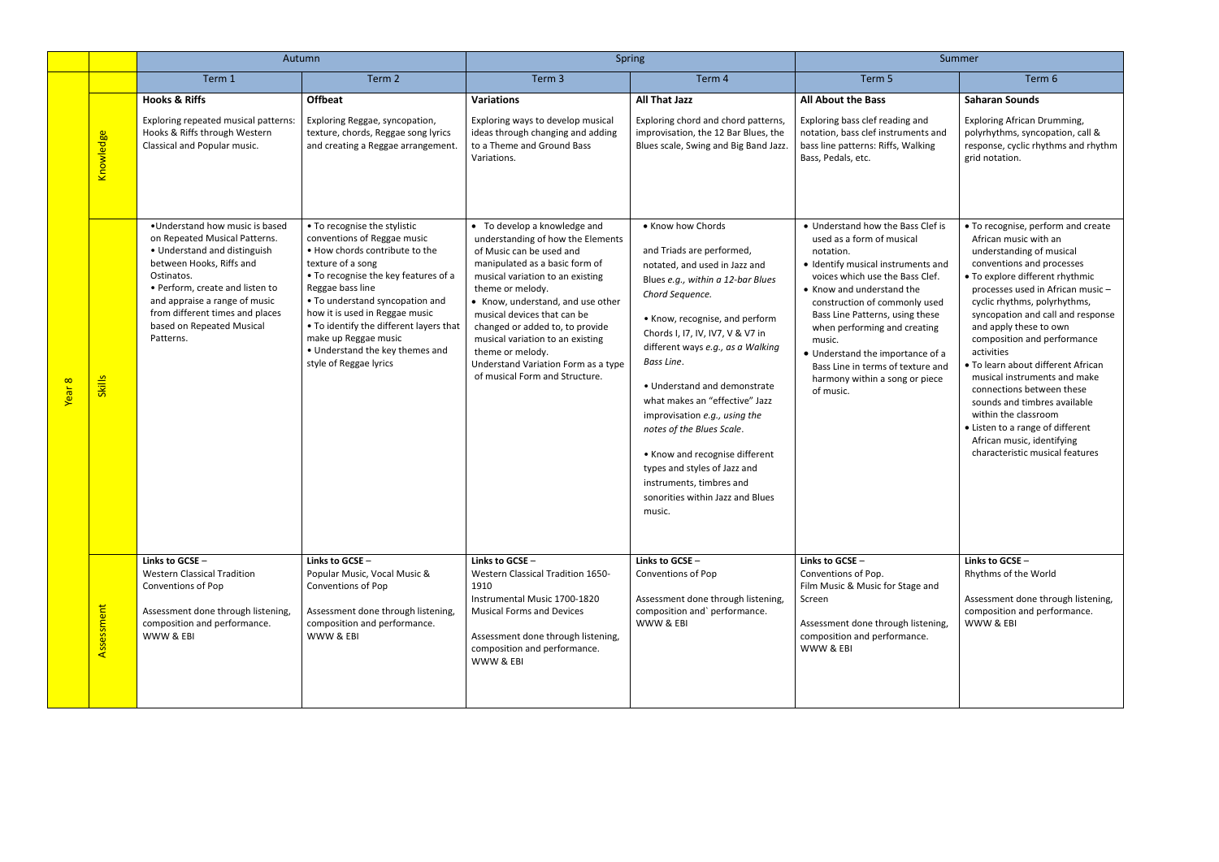|        |               | Autumn                                                                                                                                                                                                                                                                                     | Spring                                                                                                                                                                                                                                                                                                                                                                              |                                                                                                                                                                                                                                                                                                                                                                                                                                 |                                                                                                                                                                                                                                                                                                                                                                                                                                                                                                                                              | Summer                                                                                                                                                                                                                                                                                                                                                                                                                  |                                                                                                                                                                                                                                                                                                                                                                                                                                                                                                                                                                                                         |
|--------|---------------|--------------------------------------------------------------------------------------------------------------------------------------------------------------------------------------------------------------------------------------------------------------------------------------------|-------------------------------------------------------------------------------------------------------------------------------------------------------------------------------------------------------------------------------------------------------------------------------------------------------------------------------------------------------------------------------------|---------------------------------------------------------------------------------------------------------------------------------------------------------------------------------------------------------------------------------------------------------------------------------------------------------------------------------------------------------------------------------------------------------------------------------|----------------------------------------------------------------------------------------------------------------------------------------------------------------------------------------------------------------------------------------------------------------------------------------------------------------------------------------------------------------------------------------------------------------------------------------------------------------------------------------------------------------------------------------------|-------------------------------------------------------------------------------------------------------------------------------------------------------------------------------------------------------------------------------------------------------------------------------------------------------------------------------------------------------------------------------------------------------------------------|---------------------------------------------------------------------------------------------------------------------------------------------------------------------------------------------------------------------------------------------------------------------------------------------------------------------------------------------------------------------------------------------------------------------------------------------------------------------------------------------------------------------------------------------------------------------------------------------------------|
|        |               | Term 1                                                                                                                                                                                                                                                                                     | Term 2                                                                                                                                                                                                                                                                                                                                                                              | Term 3                                                                                                                                                                                                                                                                                                                                                                                                                          | Term 4                                                                                                                                                                                                                                                                                                                                                                                                                                                                                                                                       | Term 5                                                                                                                                                                                                                                                                                                                                                                                                                  | Term 6                                                                                                                                                                                                                                                                                                                                                                                                                                                                                                                                                                                                  |
|        | Knowledge     | <b>Hooks &amp; Riffs</b><br>Exploring repeated musical patterns:<br>Hooks & Riffs through Western<br>Classical and Popular music.                                                                                                                                                          | <b>Offbeat</b><br>Exploring Reggae, syncopation,<br>texture, chords, Reggae song lyrics<br>and creating a Reggae arrangement.                                                                                                                                                                                                                                                       | <b>Variations</b><br>Exploring ways to develop musical<br>ideas through changing and adding<br>to a Theme and Ground Bass<br>Variations.                                                                                                                                                                                                                                                                                        | <b>All That Jazz</b><br>Exploring chord and chord patterns,<br>improvisation, the 12 Bar Blues, the<br>Blues scale, Swing and Big Band Jazz.                                                                                                                                                                                                                                                                                                                                                                                                 | <b>All About the Bass</b><br>Exploring bass clef reading and<br>notation, bass clef instruments and<br>bass line patterns: Riffs, Walking<br>Bass, Pedals, etc.                                                                                                                                                                                                                                                         | <b>Saharan Sounds</b><br><b>Exploring African Drumming,</b><br>polyrhythms, syncopation, call &<br>response, cyclic rhythms and rhythm<br>grid notation.                                                                                                                                                                                                                                                                                                                                                                                                                                                |
| Year 8 | <b>Skills</b> | •Understand how music is based<br>on Repeated Musical Patterns.<br>• Understand and distinguish<br>between Hooks, Riffs and<br>Ostinatos.<br>• Perform, create and listen to<br>and appraise a range of music<br>from different times and places<br>based on Repeated Musical<br>Patterns. | • To recognise the stylistic<br>conventions of Reggae music<br>. How chords contribute to the<br>texture of a song<br>• To recognise the key features of a<br>Reggae bass line<br>• To understand syncopation and<br>how it is used in Reggae music<br>• To identify the different layers that<br>make up Reggae music<br>• Understand the key themes and<br>style of Reggae lyrics | • To develop a knowledge and<br>understanding of how the Elements<br>of Music can be used and<br>manipulated as a basic form of<br>musical variation to an existing<br>theme or melody.<br>• Know, understand, and use other<br>musical devices that can be<br>changed or added to, to provide<br>musical variation to an existing<br>theme or melody.<br>Understand Variation Form as a type<br>of musical Form and Structure. | • Know how Chords<br>and Triads are performed,<br>notated, and used in Jazz and<br>Blues e.g., within a 12-bar Blues<br>Chord Sequence.<br>• Know, recognise, and perform<br>Chords I, I7, IV, IV7, V & V7 in<br>different ways e.g., as a Walking<br>Bass Line.<br>• Understand and demonstrate<br>what makes an "effective" Jazz<br>improvisation e.g., using the<br>notes of the Blues Scale.<br>• Know and recognise different<br>types and styles of Jazz and<br>instruments, timbres and<br>sonorities within Jazz and Blues<br>music. | • Understand how the Bass Clef is<br>used as a form of musical<br>notation.<br>• Identify musical instruments and<br>voices which use the Bass Clef.<br>• Know and understand the<br>construction of commonly used<br>Bass Line Patterns, using these<br>when performing and creating<br>music.<br>• Understand the importance of a<br>Bass Line in terms of texture and<br>harmony within a song or piece<br>of music. | • To recognise, perform and create<br>African music with an<br>understanding of musical<br>conventions and processes<br>• To explore different rhythmic<br>processes used in African music-<br>cyclic rhythms, polyrhythms,<br>syncopation and call and response<br>and apply these to own<br>composition and performance<br>activities<br>• To learn about different African<br>musical instruments and make<br>connections between these<br>sounds and timbres available<br>within the classroom<br>• Listen to a range of different<br>African music, identifying<br>characteristic musical features |
|        | Assessment    | Links to GCSE -<br><b>Western Classical Tradition</b><br>Conventions of Pop<br>Assessment done through listening,<br>composition and performance.<br>WWW & EBI                                                                                                                             | Links to GCSE -<br>Popular Music, Vocal Music &<br>Conventions of Pop<br>Assessment done through listening,<br>composition and performance.<br>WWW & EBI                                                                                                                                                                                                                            | Links to GCSE -<br>Western Classical Tradition 1650-<br>1910<br>Instrumental Music 1700-1820<br><b>Musical Forms and Devices</b><br>Assessment done through listening,<br>composition and performance.<br>WWW & EBI                                                                                                                                                                                                             | Links to GCSE -<br>Conventions of Pop<br>Assessment done through listening,<br>composition and`performance.<br>WWW & EBI                                                                                                                                                                                                                                                                                                                                                                                                                     | Links to GCSE -<br>Conventions of Pop.<br>Film Music & Music for Stage and<br>Screen<br>Assessment done through listening,<br>composition and performance.<br>WWW & EBI                                                                                                                                                                                                                                                 | Links to GCSE -<br>Rhythms of the World<br>Assessment done through listening,<br>composition and performance.<br>WWW & EBI                                                                                                                                                                                                                                                                                                                                                                                                                                                                              |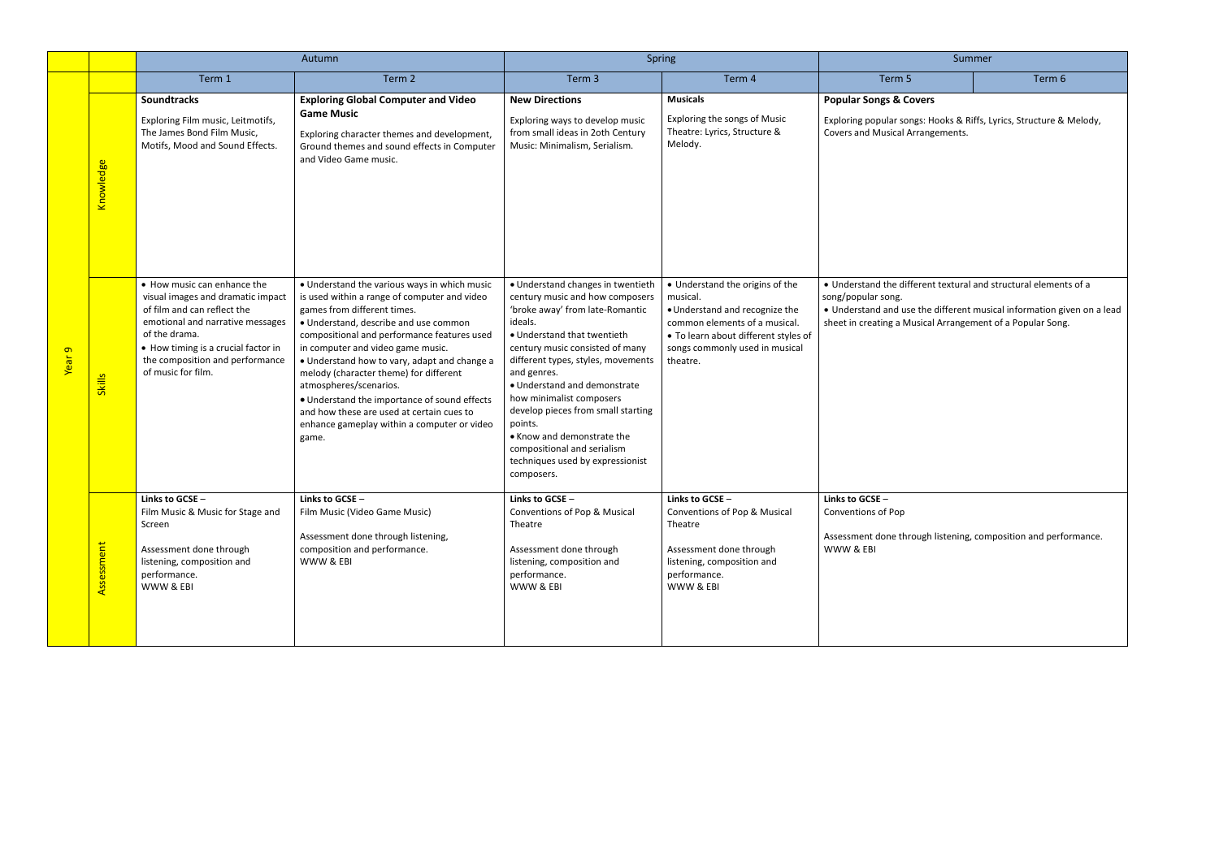| Summer                                                                                                                               |        |  |  |  |  |  |
|--------------------------------------------------------------------------------------------------------------------------------------|--------|--|--|--|--|--|
| Term 5                                                                                                                               | Term 6 |  |  |  |  |  |
| <b>Popular Songs &amp; Covers</b>                                                                                                    |        |  |  |  |  |  |
| Exploring popular songs: Hooks & Riffs, Lyrics, Structure & Melody,<br>Covers and Musical Arrangements.                              |        |  |  |  |  |  |
|                                                                                                                                      |        |  |  |  |  |  |
|                                                                                                                                      |        |  |  |  |  |  |
|                                                                                                                                      |        |  |  |  |  |  |
|                                                                                                                                      |        |  |  |  |  |  |
|                                                                                                                                      |        |  |  |  |  |  |
| . Understand the different textural and structural elements of a<br>song/popular song.                                               |        |  |  |  |  |  |
| . Understand and use the different musical information given on a lead<br>sheet in creating a Musical Arrangement of a Popular Song. |        |  |  |  |  |  |
|                                                                                                                                      |        |  |  |  |  |  |
|                                                                                                                                      |        |  |  |  |  |  |
|                                                                                                                                      |        |  |  |  |  |  |
|                                                                                                                                      |        |  |  |  |  |  |
|                                                                                                                                      |        |  |  |  |  |  |
|                                                                                                                                      |        |  |  |  |  |  |
| Links to GCSE -<br>Conventions of Pop                                                                                                |        |  |  |  |  |  |
| Assessment done through listening, composition and performance.<br>WWW & EBI                                                         |        |  |  |  |  |  |
|                                                                                                                                      |        |  |  |  |  |  |
|                                                                                                                                      |        |  |  |  |  |  |
|                                                                                                                                      |        |  |  |  |  |  |

|        |                        |                                                                                                                                                                                                                                                      | Autumn                                                                                                                                                                                                                                                                                                                                                                                                                                                                                                                            | Spring                                                                                                                                                                                                                                                                                                                                                                                                                                                                |                                                                                                                                                                                                      | Summer                                                                                                                                                                                                    |        |
|--------|------------------------|------------------------------------------------------------------------------------------------------------------------------------------------------------------------------------------------------------------------------------------------------|-----------------------------------------------------------------------------------------------------------------------------------------------------------------------------------------------------------------------------------------------------------------------------------------------------------------------------------------------------------------------------------------------------------------------------------------------------------------------------------------------------------------------------------|-----------------------------------------------------------------------------------------------------------------------------------------------------------------------------------------------------------------------------------------------------------------------------------------------------------------------------------------------------------------------------------------------------------------------------------------------------------------------|------------------------------------------------------------------------------------------------------------------------------------------------------------------------------------------------------|-----------------------------------------------------------------------------------------------------------------------------------------------------------------------------------------------------------|--------|
|        |                        | Term 1                                                                                                                                                                                                                                               | Term 2                                                                                                                                                                                                                                                                                                                                                                                                                                                                                                                            | Term 3                                                                                                                                                                                                                                                                                                                                                                                                                                                                | Term 4                                                                                                                                                                                               | Term 5                                                                                                                                                                                                    | Term 6 |
|        | <mark>Knowledge</mark> | <b>Soundtracks</b><br>Exploring Film music, Leitmotifs,<br>The James Bond Film Music,<br>Motifs, Mood and Sound Effects.                                                                                                                             | <b>Exploring Global Computer and Video</b><br><b>Game Music</b><br>Exploring character themes and development,<br>Ground themes and sound effects in Computer<br>and Video Game music.                                                                                                                                                                                                                                                                                                                                            | <b>New Directions</b><br>Exploring ways to develop music<br>from small ideas in 2oth Century<br>Music: Minimalism, Serialism.                                                                                                                                                                                                                                                                                                                                         | <b>Musicals</b><br>Exploring the songs of Music<br>Theatre: Lyrics, Structure &<br>Melody.                                                                                                           | <b>Popular Songs &amp; Covers</b><br>Exploring popular songs: Hooks & Riffs, Lyrics, Structure &<br>Covers and Musical Arrangements.                                                                      |        |
| Year 9 | <b>Skills</b>          | • How music can enhance the<br>visual images and dramatic impact<br>of film and can reflect the<br>emotional and narrative messages<br>of the drama.<br>• How timing is a crucial factor in<br>the composition and performance<br>of music for film. | . Understand the various ways in which music<br>is used within a range of computer and video<br>games from different times.<br>· Understand, describe and use common<br>compositional and performance features used<br>in computer and video game music.<br>• Understand how to vary, adapt and change a<br>melody (character theme) for different<br>atmospheres/scenarios.<br>• Understand the importance of sound effects<br>and how these are used at certain cues to<br>enhance gameplay within a computer or video<br>game. | · Understand changes in twentieth<br>century music and how composers<br>'broke away' from late-Romantic<br>ideals.<br>• Understand that twentieth<br>century music consisted of many<br>different types, styles, movements<br>and genres.<br>• Understand and demonstrate<br>how minimalist composers<br>develop pieces from small starting<br>points.<br>• Know and demonstrate the<br>compositional and serialism<br>techniques used by expressionist<br>composers. | • Understand the origins of the<br>musical.<br>• Understand and recognize the<br>common elements of a musical.<br>• To learn about different styles of<br>songs commonly used in musical<br>theatre. | • Understand the different textural and structural elemen<br>song/popular song.<br>• Understand and use the different musical information gi<br>sheet in creating a Musical Arrangement of a Popular Song |        |
|        | Assessment             | Links to GCSE -<br>Film Music & Music for Stage and<br>Screen<br>Assessment done through<br>listening, composition and<br>performance.<br>WWW & EBI                                                                                                  | Links to GCSE -<br>Film Music (Video Game Music)<br>Assessment done through listening,<br>composition and performance.<br>WWW & EBI                                                                                                                                                                                                                                                                                                                                                                                               | Links to GCSE -<br>Conventions of Pop & Musical<br>Theatre<br>Assessment done through<br>listening, composition and<br>performance.<br>WWW & EBI                                                                                                                                                                                                                                                                                                                      | Links to GCSE -<br>Conventions of Pop & Musical<br>Theatre<br>Assessment done through<br>listening, composition and<br>performance.<br>WWW & EBI                                                     | Links to GCSE -<br>Conventions of Pop<br>Assessment done through listening, composition and perfo<br>WWW & EBI                                                                                            |        |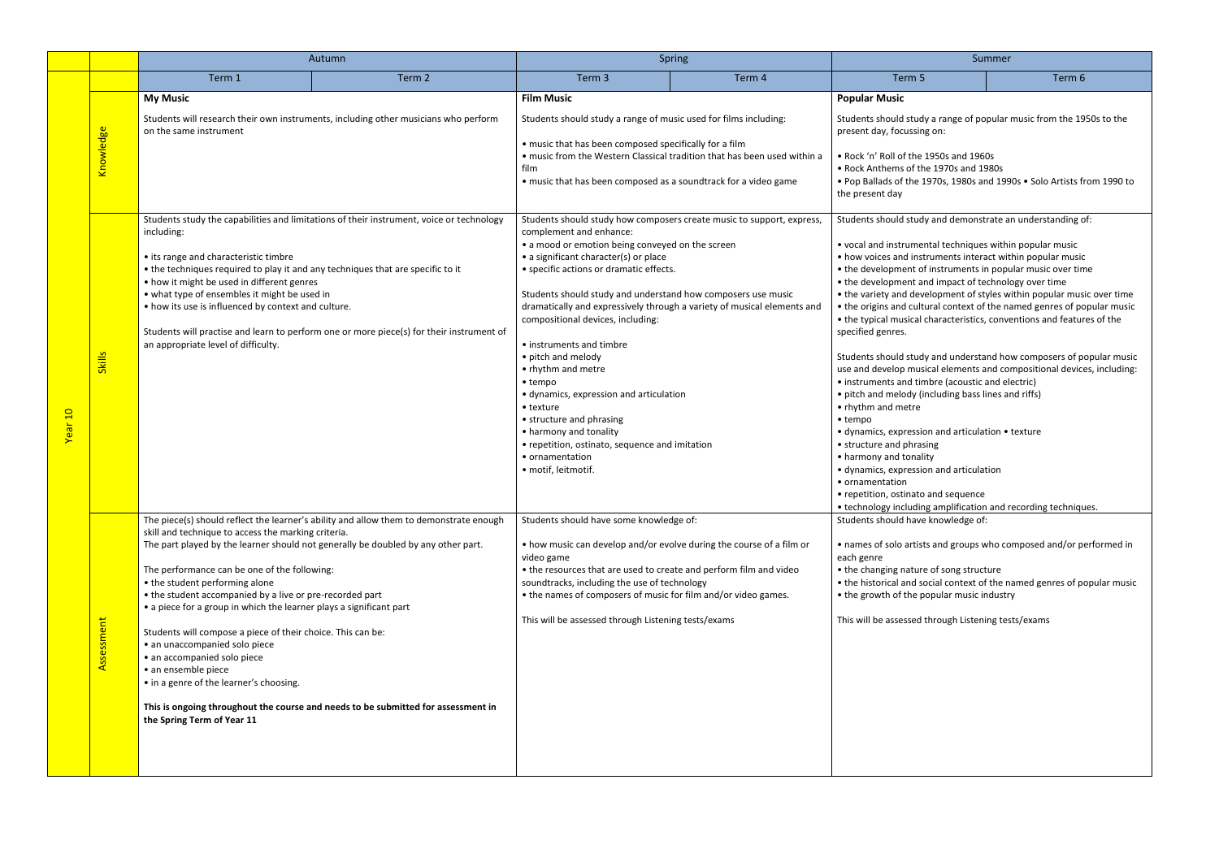|         |               | Autumn                                                                                                                                                                                                                                                                                                                                                                                                                                                                                                                                                                                                                                                                                                                                                                      |        | Spring                                                                                                                                                                                                                                                                                                                                                                                                                                                                                                                                                                                                                                                                                                                        |        | Summer                                                                                                                                                                                                                                                                                                                                                                                                                                                                                                                                                                                                                                                                                                                                                                                                                                                                                                                                                                                                                                                                                                                                                 |                                                                                                                                                 |
|---------|---------------|-----------------------------------------------------------------------------------------------------------------------------------------------------------------------------------------------------------------------------------------------------------------------------------------------------------------------------------------------------------------------------------------------------------------------------------------------------------------------------------------------------------------------------------------------------------------------------------------------------------------------------------------------------------------------------------------------------------------------------------------------------------------------------|--------|-------------------------------------------------------------------------------------------------------------------------------------------------------------------------------------------------------------------------------------------------------------------------------------------------------------------------------------------------------------------------------------------------------------------------------------------------------------------------------------------------------------------------------------------------------------------------------------------------------------------------------------------------------------------------------------------------------------------------------|--------|--------------------------------------------------------------------------------------------------------------------------------------------------------------------------------------------------------------------------------------------------------------------------------------------------------------------------------------------------------------------------------------------------------------------------------------------------------------------------------------------------------------------------------------------------------------------------------------------------------------------------------------------------------------------------------------------------------------------------------------------------------------------------------------------------------------------------------------------------------------------------------------------------------------------------------------------------------------------------------------------------------------------------------------------------------------------------------------------------------------------------------------------------------|-------------------------------------------------------------------------------------------------------------------------------------------------|
|         |               | Term 1                                                                                                                                                                                                                                                                                                                                                                                                                                                                                                                                                                                                                                                                                                                                                                      | Term 2 | Term 3                                                                                                                                                                                                                                                                                                                                                                                                                                                                                                                                                                                                                                                                                                                        | Term 4 | Term 5                                                                                                                                                                                                                                                                                                                                                                                                                                                                                                                                                                                                                                                                                                                                                                                                                                                                                                                                                                                                                                                                                                                                                 | Term 6                                                                                                                                          |
| Year 10 | Knowledge     | <b>My Music</b><br>Students will research their own instruments, including other musicians who perform<br>on the same instrument                                                                                                                                                                                                                                                                                                                                                                                                                                                                                                                                                                                                                                            |        | <b>Film Music</b><br>Students should study a range of music used for films including:<br>• music that has been composed specifically for a film<br>• music from the Western Classical tradition that has been used within a<br>film<br>• music that has been composed as a soundtrack for a video game                                                                                                                                                                                                                                                                                                                                                                                                                        |        | <b>Popular Music</b><br>Students should study a range of popular music from the 1950s to the<br>present day, focussing on:<br>. Rock 'n' Roll of the 1950s and 1960s<br>• Rock Anthems of the 1970s and 1980s<br>. Pop Ballads of the 1970s, 1980s and 1990s . Solo Artists from 1990 to<br>the present day                                                                                                                                                                                                                                                                                                                                                                                                                                                                                                                                                                                                                                                                                                                                                                                                                                            |                                                                                                                                                 |
|         | <b>Skills</b> | Students study the capabilities and limitations of their instrument, voice or technology<br>including:<br>• its range and characteristic timbre<br>• the techniques required to play it and any techniques that are specific to it<br>• how it might be used in different genres<br>• what type of ensembles it might be used in<br>• how its use is influenced by context and culture.<br>Students will practise and learn to perform one or more piece(s) for their instrument of<br>an appropriate level of difficulty.                                                                                                                                                                                                                                                  |        | Students should study how composers create music to support, express,<br>complement and enhance:<br>• a mood or emotion being conveyed on the screen<br>• a significant character(s) or place<br>• specific actions or dramatic effects.<br>Students should study and understand how composers use music<br>dramatically and expressively through a variety of musical elements and<br>compositional devices, including:<br>• instruments and timbre<br>• pitch and melody<br>• rhythm and metre<br>$\bullet$ tempo<br>· dynamics, expression and articulation<br>• texture<br>• structure and phrasing<br>• harmony and tonality<br>• repetition, ostinato, sequence and imitation<br>• ornamentation<br>· motif, leitmotif. |        | Students should study and demonstrate an understanding of:<br>• vocal and instrumental techniques within popular music<br>• how voices and instruments interact within popular music<br>• the development of instruments in popular music over time<br>• the development and impact of technology over time<br>• the variety and development of styles within popular music over time<br>• the origins and cultural context of the named genres of popular music<br>• the typical musical characteristics, conventions and features of the<br>specified genres.<br>Students should study and understand how composers of popular music<br>use and develop musical elements and compositional devices, including:<br>• instruments and timbre (acoustic and electric)<br>• pitch and melody (including bass lines and riffs)<br>• rhythm and metre<br>$\bullet$ tempo<br>• dynamics, expression and articulation • texture<br>• structure and phrasing<br>• harmony and tonality<br>· dynamics, expression and articulation<br>• ornamentation<br>• repetition, ostinato and sequence<br>• technology including amplification and recording techniques. |                                                                                                                                                 |
|         | Assessment    | The piece(s) should reflect the learner's ability and allow them to demonstrate enough<br>skill and technique to access the marking criteria.<br>The part played by the learner should not generally be doubled by any other part.<br>The performance can be one of the following:<br>• the student performing alone<br>• the student accompanied by a live or pre-recorded part<br>• a piece for a group in which the learner plays a significant part<br>Students will compose a piece of their choice. This can be:<br>• an unaccompanied solo piece<br>• an accompanied solo piece<br>· an ensemble piece<br>• in a genre of the learner's choosing.<br>This is ongoing throughout the course and needs to be submitted for assessment in<br>the Spring Term of Year 11 |        | Students should have some knowledge of:<br>• how music can develop and/or evolve during the course of a film or<br>video game<br>• the resources that are used to create and perform film and video<br>soundtracks, including the use of technology<br>• the names of composers of music for film and/or video games.<br>This will be assessed through Listening tests/exams                                                                                                                                                                                                                                                                                                                                                  |        | Students should have knowledge of:<br>each genre<br>• the changing nature of song structure<br>• the growth of the popular music industry<br>This will be assessed through Listening tests/exams                                                                                                                                                                                                                                                                                                                                                                                                                                                                                                                                                                                                                                                                                                                                                                                                                                                                                                                                                       | • names of solo artists and groups who composed and/or performed in<br>• the historical and social context of the named genres of popular music |